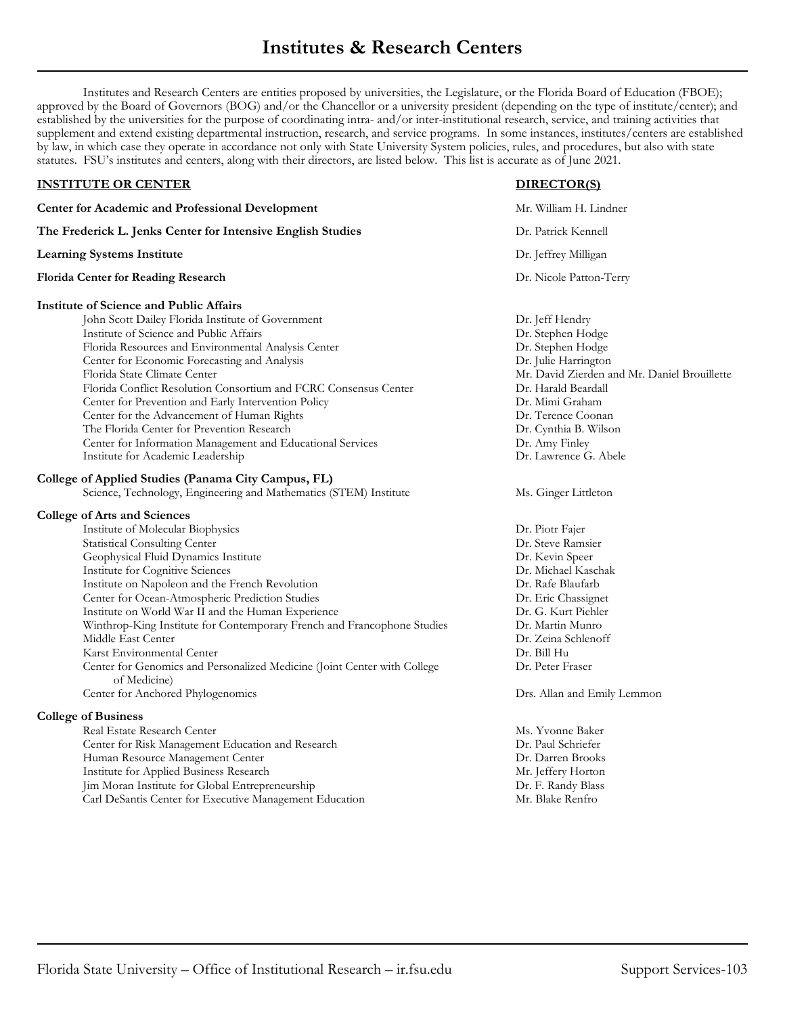Institutes and Research Centers are entities proposed by universities, the Legislature, or the Florida Board of Education (FBOE); approved by the Board of Governors (BOG) and/or the Chancellor or a university president (depending on the type of institute/center); and established by the universities for the purpose of coordinating intra- and/or inter-institutional research, service, and training activities that supplement and extend existing departmental instruction, research, and service programs. In some instances, institutes/centers are established by law, in which case they operate in accordance not only with State University System policies, rules, and procedures, but also with state statutes. FSU's institutes and centers, along with their directors, are listed below. This list is accurate as of June 2021.

## **INSTITUTE OR CENTER DIRECTOR(S)**

| <b>Center for Academic and Professional Development</b>                                                                                                                                                                                                                                                                                                                                                                                                                                                                                                                           | Mr. William H. Lindner                                                                                                                                                                                                                                         |  |
|-----------------------------------------------------------------------------------------------------------------------------------------------------------------------------------------------------------------------------------------------------------------------------------------------------------------------------------------------------------------------------------------------------------------------------------------------------------------------------------------------------------------------------------------------------------------------------------|----------------------------------------------------------------------------------------------------------------------------------------------------------------------------------------------------------------------------------------------------------------|--|
| The Frederick L. Jenks Center for Intensive English Studies<br><b>Learning Systems Institute</b>                                                                                                                                                                                                                                                                                                                                                                                                                                                                                  | Dr. Patrick Kennell                                                                                                                                                                                                                                            |  |
|                                                                                                                                                                                                                                                                                                                                                                                                                                                                                                                                                                                   | Dr. Jeffrey Milligan                                                                                                                                                                                                                                           |  |
| <b>Florida Center for Reading Research</b>                                                                                                                                                                                                                                                                                                                                                                                                                                                                                                                                        | Dr. Nicole Patton-Terry                                                                                                                                                                                                                                        |  |
| <b>Institute of Science and Public Affairs</b>                                                                                                                                                                                                                                                                                                                                                                                                                                                                                                                                    |                                                                                                                                                                                                                                                                |  |
| John Scott Dailey Florida Institute of Government<br>Institute of Science and Public Affairs<br>Florida Resources and Environmental Analysis Center<br>Center for Economic Forecasting and Analysis<br>Florida State Climate Center<br>Florida Conflict Resolution Consortium and FCRC Consensus Center<br>Center for Prevention and Early Intervention Policy<br>Center for the Advancement of Human Rights<br>The Florida Center for Prevention Research<br>Center for Information Management and Educational Services                                                          | Dr. Jeff Hendry<br>Dr. Stephen Hodge<br>Dr. Stephen Hodge<br>Dr. Julie Harrington<br>Mr. David Zierden and Mr. Daniel Brouillette<br>Dr. Harald Beardall<br>Dr. Mimi Graham<br>Dr. Terence Coonan<br>Dr. Cynthia B. Wilson<br>Dr. Amy Finley                   |  |
| Institute for Academic Leadership                                                                                                                                                                                                                                                                                                                                                                                                                                                                                                                                                 | Dr. Lawrence G. Abele                                                                                                                                                                                                                                          |  |
| College of Applied Studies (Panama City Campus, FL)<br>Science, Technology, Engineering and Mathematics (STEM) Institute                                                                                                                                                                                                                                                                                                                                                                                                                                                          | Ms. Ginger Littleton                                                                                                                                                                                                                                           |  |
| <b>College of Arts and Sciences</b>                                                                                                                                                                                                                                                                                                                                                                                                                                                                                                                                               |                                                                                                                                                                                                                                                                |  |
| Institute of Molecular Biophysics<br><b>Statistical Consulting Center</b><br>Geophysical Fluid Dynamics Institute<br>Institute for Cognitive Sciences<br>Institute on Napoleon and the French Revolution<br>Center for Ocean-Atmospheric Prediction Studies<br>Institute on World War II and the Human Experience<br>Winthrop-King Institute for Contemporary French and Francophone Studies<br>Middle East Center<br>Karst Environmental Center<br>Center for Genomics and Personalized Medicine (Joint Center with College<br>of Medicine)<br>Center for Anchored Phylogenomics | Dr. Piotr Fajer<br>Dr. Steve Ramsier<br>Dr. Kevin Speer<br>Dr. Michael Kaschak<br>Dr. Rafe Blaufarb<br>Dr. Eric Chassignet<br>Dr. G. Kurt Piehler<br>Dr. Martin Munro<br>Dr. Zeina Schlenoff<br>Dr. Bill Hu<br>Dr. Peter Fraser<br>Drs. Allan and Emily Lemmon |  |
| <b>College of Business</b>                                                                                                                                                                                                                                                                                                                                                                                                                                                                                                                                                        |                                                                                                                                                                                                                                                                |  |
| Real Estate Research Center<br>Center for Risk Management Education and Research<br>Human Resource Management Center<br>Institute for Applied Business Research<br>Jim Moran Institute for Global Entrepreneurship                                                                                                                                                                                                                                                                                                                                                                | Ms. Yvonne Baker<br>Dr. Paul Schriefer<br>Dr. Darren Brooks<br>Mr. Jeffery Horton<br>Dr. F. Randy Blass                                                                                                                                                        |  |

Carl DeSantis Center for Executive Management Education Mr. Blake Renfro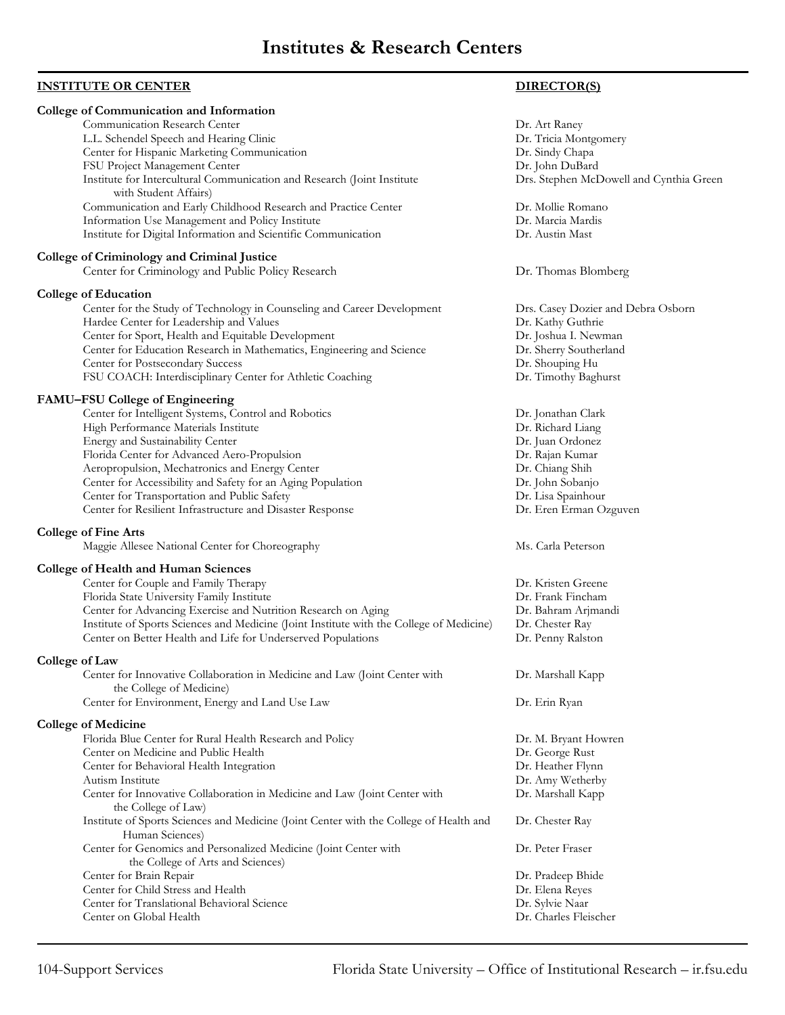# **INSTITUTE OR CENTER DIRECTOR(S)**

| <b>College of Communication and Information</b>                                                                                                          |                                         |
|----------------------------------------------------------------------------------------------------------------------------------------------------------|-----------------------------------------|
| Communication Research Center                                                                                                                            | Dr. Art Raney                           |
| L.L. Schendel Speech and Hearing Clinic                                                                                                                  | Dr. Tricia Montgomery                   |
| Center for Hispanic Marketing Communication                                                                                                              | Dr. Sindy Chapa                         |
| FSU Project Management Center                                                                                                                            | Dr. John DuBard                         |
| Institute for Intercultural Communication and Research (Joint Institute<br>with Student Affairs)                                                         | Drs. Stephen McDowell and Cynthia Green |
| Communication and Early Childhood Research and Practice Center                                                                                           | Dr. Mollie Romano                       |
| Information Use Management and Policy Institute                                                                                                          | Dr. Marcia Mardis                       |
| Institute for Digital Information and Scientific Communication                                                                                           | Dr. Austin Mast                         |
| College of Criminology and Criminal Justice                                                                                                              |                                         |
| Center for Criminology and Public Policy Research                                                                                                        | Dr. Thomas Blomberg                     |
| <b>College of Education</b>                                                                                                                              |                                         |
| Center for the Study of Technology in Counseling and Career Development                                                                                  | Drs. Casey Dozier and Debra Osborn      |
| Hardee Center for Leadership and Values                                                                                                                  | Dr. Kathy Guthrie                       |
| Center for Sport, Health and Equitable Development                                                                                                       | Dr. Joshua I. Newman                    |
| Center for Education Research in Mathematics, Engineering and Science                                                                                    | Dr. Sherry Southerland                  |
| Center for Postsecondary Success                                                                                                                         | Dr. Shouping Hu                         |
| FSU COACH: Interdisciplinary Center for Athletic Coaching                                                                                                | Dr. Timothy Baghurst                    |
| <b>FAMU-FSU College of Engineering</b>                                                                                                                   |                                         |
| Center for Intelligent Systems, Control and Robotics                                                                                                     | Dr. Jonathan Clark                      |
| High Performance Materials Institute                                                                                                                     | Dr. Richard Liang                       |
| Energy and Sustainability Center                                                                                                                         | Dr. Juan Ordonez                        |
| Florida Center for Advanced Aero-Propulsion                                                                                                              | Dr. Rajan Kumar                         |
| Aeropropulsion, Mechatronics and Energy Center                                                                                                           | Dr. Chiang Shih                         |
| Center for Accessibility and Safety for an Aging Population                                                                                              | Dr. John Sobanjo                        |
| Center for Transportation and Public Safety                                                                                                              | Dr. Lisa Spainhour                      |
| Center for Resilient Infrastructure and Disaster Response                                                                                                | Dr. Eren Erman Ozguven                  |
| <b>College of Fine Arts</b>                                                                                                                              |                                         |
| Maggie Allesee National Center for Choreography                                                                                                          | Ms. Carla Peterson                      |
|                                                                                                                                                          |                                         |
| <b>College of Health and Human Sciences</b>                                                                                                              | Dr. Kristen Greene                      |
| Center for Couple and Family Therapy                                                                                                                     |                                         |
| Florida State University Family Institute                                                                                                                | Dr. Frank Fincham                       |
| Center for Advancing Exercise and Nutrition Research on Aging                                                                                            | Dr. Bahram Arjmandi                     |
| Institute of Sports Sciences and Medicine (Joint Institute with the College of Medicine)<br>Center on Better Health and Life for Underserved Populations | Dr. Chester Ray<br>Dr. Penny Ralston    |
|                                                                                                                                                          |                                         |
| <b>College of Law</b><br>Center for Innovative Collaboration in Medicine and Law (Joint Center with                                                      | Dr. Marshall Kapp                       |
| the College of Medicine)                                                                                                                                 |                                         |
| Center for Environment, Energy and Land Use Law                                                                                                          | Dr. Erin Ryan                           |
| <b>College of Medicine</b>                                                                                                                               |                                         |
| Florida Blue Center for Rural Health Research and Policy                                                                                                 | Dr. M. Bryant Howren                    |
| Center on Medicine and Public Health                                                                                                                     | Dr. George Rust                         |
| Center for Behavioral Health Integration                                                                                                                 | Dr. Heather Flynn                       |
| Autism Institute                                                                                                                                         | Dr. Amy Wetherby                        |
| Center for Innovative Collaboration in Medicine and Law (Joint Center with                                                                               |                                         |
| the College of Law)                                                                                                                                      | Dr. Marshall Kapp                       |
| Institute of Sports Sciences and Medicine (Joint Center with the College of Health and<br>Human Sciences)                                                | Dr. Chester Ray                         |
| Center for Genomics and Personalized Medicine (Joint Center with                                                                                         | Dr. Peter Fraser                        |
| the College of Arts and Sciences)                                                                                                                        |                                         |
| Center for Brain Repair                                                                                                                                  | Dr. Pradeep Bhide                       |
| Center for Child Stress and Health                                                                                                                       | Dr. Elena Reyes                         |
| Center for Translational Behavioral Science                                                                                                              | Dr. Sylvie Naar                         |
| Center on Global Health                                                                                                                                  | Dr. Charles Fleischer                   |

104-Support Services Florida State University – Office of Institutional Research – ir.fsu.edu